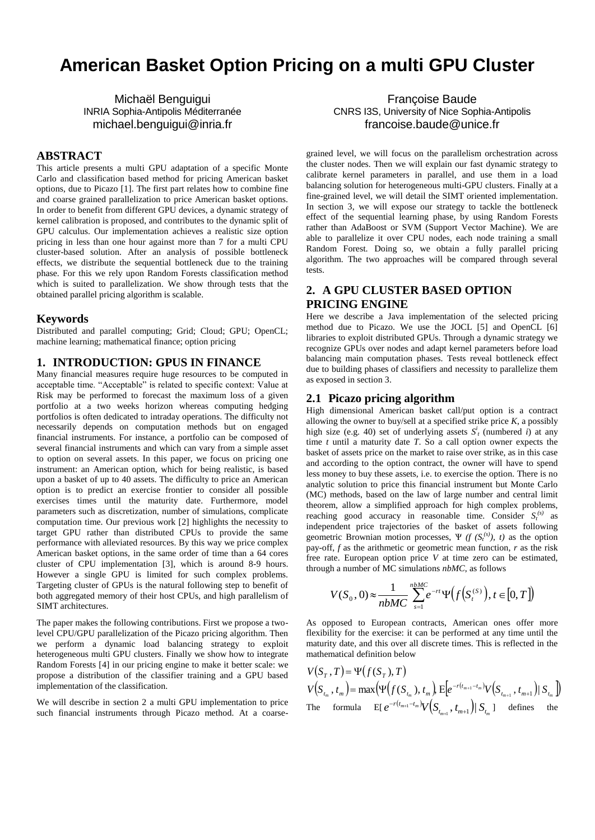# **American Basket Option Pricing on a multi GPU Cluster**

Michaël Benguigui INRIA Sophia-Antipolis Méditerranée michael.benguigui@inria.fr

## **ABSTRACT**

This article presents a multi GPU adaptation of a specific Monte Carlo and classification based method for pricing American basket options, due to Picazo [1]. The first part relates how to combine fine and coarse grained parallelization to price American basket options. In order to benefit from different GPU devices, a dynamic strategy of kernel calibration is proposed, and contributes to the dynamic split of GPU calculus. Our implementation achieves a realistic size option pricing in less than one hour against more than 7 for a multi CPU cluster-based solution. After an analysis of possible bottleneck effects, we distribute the sequential bottleneck due to the training phase. For this we rely upon Random Forests classification method which is suited to parallelization. We show through tests that the obtained parallel pricing algorithm is scalable.

#### **Keywords**

Distributed and parallel computing; Grid; Cloud; GPU; OpenCL; machine learning; mathematical finance; option pricing

#### **1. INTRODUCTION: GPUS IN FINANCE**

Many financial measures require huge resources to be computed in acceptable time. "Acceptable" is related to specific context: Value at Risk may be performed to forecast the maximum loss of a given portfolio at a two weeks horizon whereas computing hedging portfolios is often dedicated to intraday operations. The difficulty not necessarily depends on computation methods but on engaged financial instruments. For instance, a portfolio can be composed of several financial instruments and which can vary from a simple asset to option on several assets. In this paper, we focus on pricing one instrument: an American option, which for being realistic, is based upon a basket of up to 40 assets. The difficulty to price an American option is to predict an exercise frontier to consider all possible exercises times until the maturity date. Furthermore, model parameters such as discretization, number of simulations, complicate computation time. Our previous work [2] highlights the necessity to target GPU rather than distributed CPUs to provide the same performance with alleviated resources. By this way we price complex American basket options, in the same order of time than a 64 cores cluster of CPU implementation [3], which is around 8-9 hours. However a single GPU is limited for such complex problems. Targeting cluster of GPUs is the natural following step to benefit of both aggregated memory of their host CPUs, and high parallelism of SIMT architectures.

The paper makes the following contributions. First we propose a twolevel CPU/GPU parallelization of the Picazo pricing algorithm. Then we perform a dynamic load balancing strategy to exploit heterogeneous multi GPU clusters. Finally we show how to integrate Random Forests [4] in our pricing engine to make it better scale: we propose a distribution of the classifier training and a GPU based implementation of the classification.

We will describe in section 2 a multi GPU implementation to price such financial instruments through Picazo method. At a coarse-

Françoise Baude CNRS I3S, University of Nice Sophia-Antipolis francoise.baude@unice.fr

grained level, we will focus on the parallelism orchestration across the cluster nodes. Then we will explain our fast dynamic strategy to calibrate kernel parameters in parallel, and use them in a load balancing solution for heterogeneous multi-GPU clusters. Finally at a fine-grained level, we will detail the SIMT oriented implementation. In section 3, we will expose our strategy to tackle the bottleneck effect of the sequential learning phase, by using Random Forests rather than AdaBoost or SVM (Support Vector Machine). We are able to parallelize it over CPU nodes, each node training a small Random Forest. Doing so, we obtain a fully parallel pricing algorithm. The two approaches will be compared through several tests.

# **2. A GPU CLUSTER BASED OPTION PRICING ENGINE**

Here we describe a Java implementation of the selected pricing method due to Picazo. We use the JOCL [5] and OpenCL [6] libraries to exploit distributed GPUs. Through a dynamic strategy we recognize GPUs over nodes and adapt kernel parameters before load balancing main computation phases. Tests reveal bottleneck effect due to building phases of classifiers and necessity to parallelize them as exposed in section 3.

## **2.1 Picazo pricing algorithm**

 $\sim$ 

High dimensional American basket call/put option is a contract allowing the owner to buy/sell at a specified strike price  $K$ , a possibly high size (e.g. 40) set of underlying assets  $S^i$  (numbered *i*) at any time *t* until a maturity date *T*. So a call option owner expects the basket of assets price on the market to raise over strike, as in this case and according to the option contract, the owner will have to spend less money to buy these assets, i.e. to exercise the option. There is no analytic solution to price this financial instrument but Monte Carlo (MC) methods, based on the law of large number and central limit theorem, allow a simplified approach for high complex problems, reaching good accuracy in reasonable time. Consider  $S_t^{(s)}$  as independent price trajectories of the basket of assets following geometric Brownian motion processes,  $\Psi$  ( $f$  ( $S_t^{(s)}$ ),  $t$ ) as the option pay-off, *f* as the arithmetic or geometric mean function, *r* as the risk free rate. European option price *V* at time zero can be estimated, through a number of MC simulations *nbMC*, as follows

$$
V(S_0, 0) \approx \frac{1}{nbMC} \sum_{s=1}^{nbMC} e^{-rt} \Psi\big(f\big(S_t^{(s)}\big), t \in [0, T]\big)
$$

As opposed to European contracts, American ones offer more flexibility for the exercise: it can be performed at any time until the maturity date, and this over all discrete times. This is reflected in the mathematical definition below

$$
V(S_T, T) = \Psi(f(S_T), T)
$$
  
\n
$$
V(S_{t_m}, t_m) = \max(\Psi(f(S_{t_m}), t_m), E[e^{-r(t_{m+1} - t_m)}V(S_{t_{m+1}}, t_{m+1})| S_{t_m})]
$$
  
\nThe formula 
$$
E[e^{-r(t_{m+1} - t_m)}V(S_{t_{m+1}}, t_{m+1})| S_{t_m}]
$$
 defines the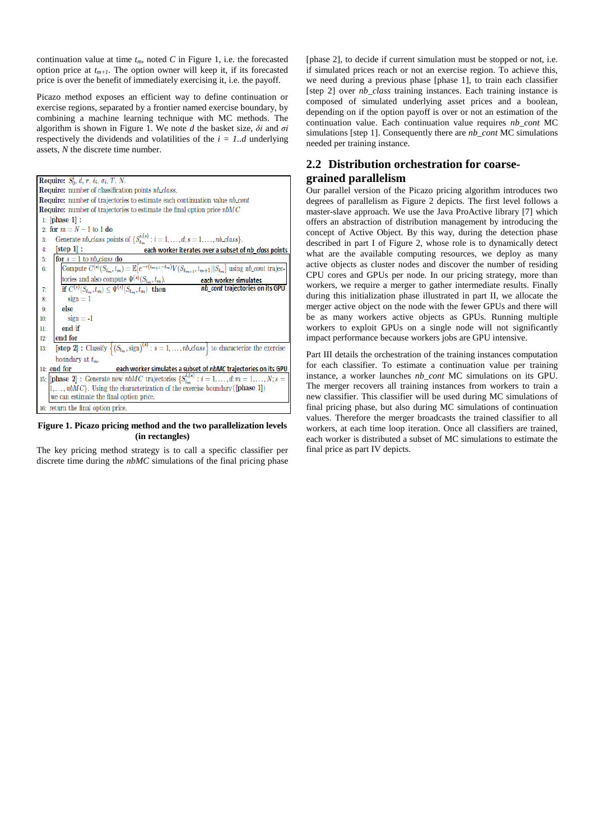continuation value at time  $t_m$ , noted *C* in Figure 1, i.e. the forecasted option price at  $t_{m+1}$ . The option owner will keep it, if its forecasted price is over the benefit of immediately exercising it, i.e. the payoff.

Picazo method exposes an efficient way to define continuation or exercise regions, separated by a frontier named exercise boundary, by combining a machine learning technique with MC methods. The algorithm is shown in Figure 1. We note *d* the basket size, *δi* and *σi* respectively the dividends and volatilities of the  $i = 1...d$  underlying assets, *N* the discrete time number.

| Require: $S_0^i$ , d, r, $\delta_i$ , $\sigma_i$ , T, N.                                                                            |  |  |  |
|-------------------------------------------------------------------------------------------------------------------------------------|--|--|--|
| <b>Require:</b> number of classification points nb class,                                                                           |  |  |  |
|                                                                                                                                     |  |  |  |
| <b>Require:</b> number of trajectories to estimate each continuation value nb cont                                                  |  |  |  |
| <b>Require:</b> number of trajectories to estimate the final option price $nbMC$                                                    |  |  |  |
| $1:$ [phase 1] :                                                                                                                    |  |  |  |
| 2: for $m = N - 1$ to 1 do                                                                                                          |  |  |  |
| Generate nb_class points of $\{S_{t_m}^{i,(s)} : i = 1, \ldots, d; s = 1, \ldots, nb$ _class $\}.$<br>3:                            |  |  |  |
| [step 1]:<br>4:<br>each worker iterates over a subset of nb class points                                                            |  |  |  |
| for $s = 1$ to <i>nb_class</i> do<br>5:                                                                                             |  |  |  |
| Compute $C^{(s)}(S_{t_m}, t_m) = \mathbb{E}[e^{-r(t_{m+1}-t_m)}V(S_{t_{m+1}}, t_{m+1}) S_{t_m}]$ using nb_cont trajec-<br>6:        |  |  |  |
| tories and also compute $\Psi^{(s)}(S_{t_m}, t_m)$ .<br>each worker simulates                                                       |  |  |  |
| nb_cont trajectories on its GPU<br>if $C^{(s)}(S_{t_m}, t_m) \leq \Psi^{(s)}(S_{t_m}, t_m)$ then<br>7:                              |  |  |  |
| $s$ ign = 1<br>8:                                                                                                                   |  |  |  |
| else<br>Q.                                                                                                                          |  |  |  |
| $sign = -1$<br>10:                                                                                                                  |  |  |  |
| end if<br>11:                                                                                                                       |  |  |  |
| end for<br>12:                                                                                                                      |  |  |  |
| [step 2]: Classify $\left\{ (S_{t_m}, \text{sign})^{(s)} : s = 1, , nb \text{ class } \right\}$ to characterize the exercise<br>13: |  |  |  |
| boundary at $t_m$ .                                                                                                                 |  |  |  |
| $14:$ end for<br>each worker simulates a subset of nbMC trajectories on its GPU                                                     |  |  |  |
| 15: [phase 2]: Generate new nbMC trajectories $\{S_{t_m}^{i,(s)}: i = 1,\ldots,d; m = 1,\ldots,N; s = 1\}$                          |  |  |  |
| $[1,\ldots,nbMC]$ . Using the characterization of the exercise boundary ([phase 1])                                                 |  |  |  |
| we can estimate the final option price.                                                                                             |  |  |  |
| 16: return the final option price.                                                                                                  |  |  |  |

#### **Figure 1. Picazo pricing method and the two parallelization levels (in rectangles)**

The key pricing method strategy is to call a specific classifier per discrete time during the *nbMC* simulations of the final pricing phase [phase 2], to decide if current simulation must be stopped or not, i.e. if simulated prices reach or not an exercise region. To achieve this, we need during a previous phase [phase 1], to train each classifier [step 2] over  $nb\_class$  training instances. Each training instance is composed of simulated underlying asset prices and a boolean, depending on if the option payoff is over or not an estimation of the continuation value. Each continuation value requires *nb\_cont* MC simulations [step 1]. Consequently there are *nb\_cont* MC simulations needed per training instance.

# **2.2 Distribution orchestration for coarsegrained parallelism**

Our parallel version of the Picazo pricing algorithm introduces two degrees of parallelism as Figure 2 depicts. The first level follows a master-slave approach. We use the Java ProActive library [7] which offers an abstraction of distribution management by introducing the concept of Active Object. By this way, during the detection phase described in part I of Figure 2, whose role is to dynamically detect what are the available computing resources, we deploy as many active objects as cluster nodes and discover the number of residing CPU cores and GPUs per node. In our pricing strategy, more than workers, we require a merger to gather intermediate results. Finally during this initialization phase illustrated in part II, we allocate the merger active object on the node with the fewer GPUs and there will be as many workers active objects as GPUs. Running multiple workers to exploit GPUs on a single node will not significantly impact performance because workers jobs are GPU intensive.

Part III details the orchestration of the training instances computation for each classifier. To estimate a continuation value per training instance, a worker launches *nb\_cont* MC simulations on its GPU. The merger recovers all training instances from workers to train a new classifier. This classifier will be used during MC simulations of final pricing phase, but also during MC simulations of continuation values. Therefore the merger broadcasts the trained classifier to all workers, at each time loop iteration. Once all classifiers are trained, each worker is distributed a subset of MC simulations to estimate the final price as part IV depicts.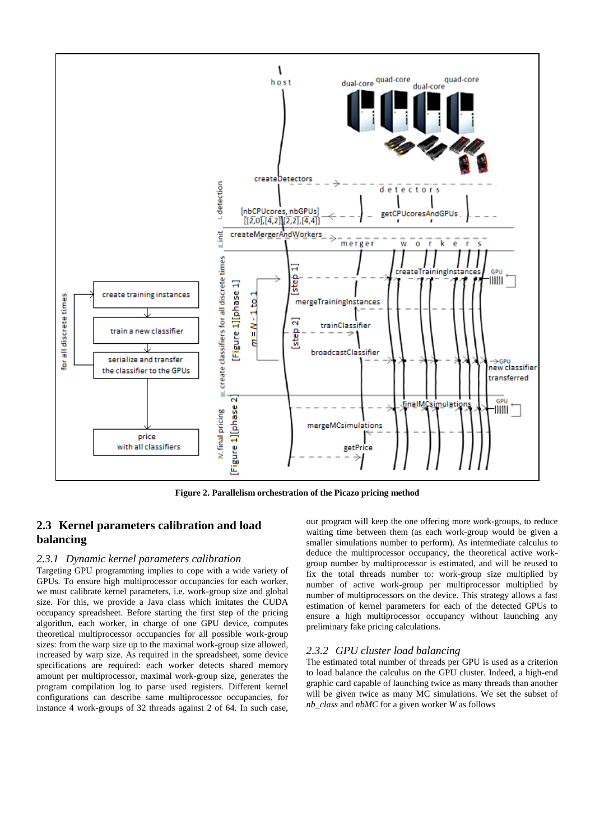

**Figure 2. Parallelism orchestration of the Picazo pricing method**

# **2.3 Kernel parameters calibration and load balancing**

#### *2.3.1 Dynamic kernel parameters calibration*

Targeting GPU programming implies to cope with a wide variety of GPUs. To ensure high multiprocessor occupancies for each worker, we must calibrate kernel parameters, i.e. work-group size and global size. For this, we provide a Java class which imitates the CUDA occupancy spreadsheet. Before starting the first step of the pricing algorithm, each worker, in charge of one GPU device, computes theoretical multiprocessor occupancies for all possible work-group sizes: from the warp size up to the maximal work-group size allowed, increased by warp size. As required in the spreadsheet, some device specifications are required: each worker detects shared memory amount per multiprocessor, maximal work-group size, generates the program compilation log to parse used registers. Different kernel configurations can describe same multiprocessor occupancies, for instance 4 work-groups of 32 threads against 2 of 64. In such case, our program will keep the one offering more work-groups, to reduce waiting time between them (as each work-group would be given a smaller simulations number to perform). As intermediate calculus to deduce the multiprocessor occupancy, the theoretical active workgroup number by multiprocessor is estimated, and will be reused to fix the total threads number to: work-group size multiplied by number of active work-group per multiprocessor multiplied by number of multiprocessors on the device. This strategy allows a fast estimation of kernel parameters for each of the detected GPUs to ensure a high multiprocessor occupancy without launching any preliminary fake pricing calculations.

#### *2.3.2 GPU cluster load balancing*

The estimated total number of threads per GPU is used as a criterion to load balance the calculus on the GPU cluster. Indeed, a high-end graphic card capable of launching twice as many threads than another will be given twice as many MC simulations. We set the subset of *nb\_class* and *nbMC* for a given worker *W* as follows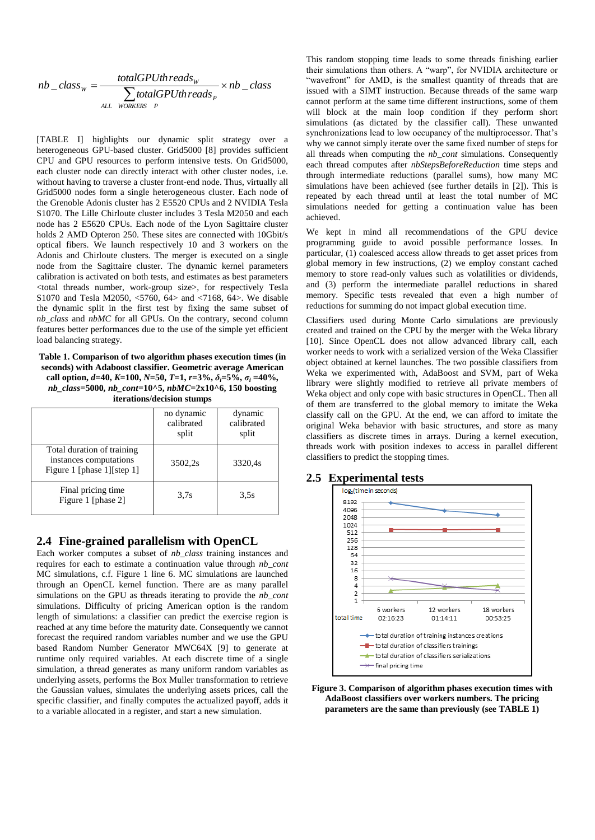$$
nb\_class_{w} = \frac{totalGPUth reads_{w}}{\sum_{ALL\_words_{P}} totalGPUth reads_{P}} \times nb\_class
$$

[TABLE I] highlights our dynamic split strategy over a heterogeneous GPU-based cluster. Grid5000 [8] provides sufficient CPU and GPU resources to perform intensive tests. On Grid5000, each cluster node can directly interact with other cluster nodes, i.e. without having to traverse a cluster front-end node. Thus, virtually all Grid5000 nodes form a single heterogeneous cluster. Each node of the Grenoble Adonis cluster has 2 E5520 CPUs and 2 NVIDIA Tesla S1070. The Lille Chirloute cluster includes 3 Tesla M2050 and each node has 2 E5620 CPUs. Each node of the Lyon Sagittaire cluster holds 2 AMD Opteron 250. These sites are connected with 10Gbit/s optical fibers. We launch respectively 10 and 3 workers on the Adonis and Chirloute clusters. The merger is executed on a single node from the Sagittaire cluster. The dynamic kernel parameters calibration is activated on both tests, and estimates as best parameters <total threads number, work-group size>, for respectively Tesla S1070 and Tesla M2050, <5760, 64> and <7168, 64>. We disable the dynamic split in the first test by fixing the same subset of *nb\_class* and *nbMC* for all GPUs. On the contrary, second column features better performances due to the use of the simple yet efficient load balancing strategy.

**Table 1. Comparison of two algorithm phases execution times (in seconds) with Adaboost classifier. Geometric average American call option,**  $d=40$ ,  $K=100$ ,  $N=50$ ,  $T=1$ ,  $r=3\%$ ,  $\delta_i=5\%$ ,  $\sigma_i=40\%$ , *nb\_class***=5000***, nb\_cont***=10^5,** *nbMC***=2x10^6, 150 boosting iterations/decision stumps**

|                                                                                     | no dynamic<br>calibrated<br>split | dynamic<br>calibrated<br>split |
|-------------------------------------------------------------------------------------|-----------------------------------|--------------------------------|
| Total duration of training<br>instances computations<br>Figure 1 [phase 1] [step 1] | 3502,2s                           | 3320.4s                        |
| Final pricing time<br>Figure 1 [phase 2]                                            | 3.7s                              | 3.5s                           |

## **2.4 Fine-grained parallelism with OpenCL**

Each worker computes a subset of *nb\_class* training instances and requires for each to estimate a continuation value through *nb\_cont* MC simulations, c.f. Figure 1 line 6. MC simulations are launched through an OpenCL kernel function. There are as many parallel simulations on the GPU as threads iterating to provide the *nb\_cont* simulations. Difficulty of pricing American option is the random length of simulations: a classifier can predict the exercise region is reached at any time before the maturity date. Consequently we cannot forecast the required random variables number and we use the GPU based Random Number Generator MWC64X [9] to generate at runtime only required variables. At each discrete time of a single simulation, a thread generates as many uniform random variables as underlying assets, performs the Box Muller transformation to retrieve the Gaussian values, simulates the underlying assets prices, call the specific classifier, and finally computes the actualized payoff, adds it to a variable allocated in a register, and start a new simulation.

This random stopping time leads to some threads finishing earlier their simulations than others. A "warp", for NVIDIA architecture or "wavefront" for AMD, is the smallest quantity of threads that are issued with a SIMT instruction. Because threads of the same warp cannot perform at the same time different instructions, some of them will block at the main loop condition if they perform short simulations (as dictated by the classifier call). These unwanted synchronizations lead to low occupancy of the multiprocessor. That's why we cannot simply iterate over the same fixed number of steps for all threads when computing the *nb\_cont* simulations. Consequently each thread computes after *nbStepsBeforeReduction* time steps and through intermediate reductions (parallel sums), how many MC simulations have been achieved (see further details in [2]). This is repeated by each thread until at least the total number of MC simulations needed for getting a continuation value has been achieved.

We kept in mind all recommendations of the GPU device programming guide to avoid possible performance losses. In particular, (1) coalesced access allow threads to get asset prices from global memory in few instructions, (2) we employ constant cached memory to store read-only values such as volatilities or dividends, and (3) perform the intermediate parallel reductions in shared memory. Specific tests revealed that even a high number of reductions for summing do not impact global execution time.

Classifiers used during Monte Carlo simulations are previously created and trained on the CPU by the merger with the Weka library [10]. Since OpenCL does not allow advanced library call, each worker needs to work with a serialized version of the Weka Classifier object obtained at kernel launches. The two possible classifiers from Weka we experimented with, AdaBoost and SVM, part of Weka library were slightly modified to retrieve all private members of Weka object and only cope with basic structures in OpenCL. Then all of them are transferred to the global memory to imitate the Weka classify call on the GPU. At the end, we can afford to imitate the original Weka behavior with basic structures, and store as many classifiers as discrete times in arrays. During a kernel execution, threads work with position indexes to access in parallel different classifiers to predict the stopping times.



## **2.5 Experimental tests**

**Figure 3. Comparison of algorithm phases execution times with AdaBoost classifiers over workers numbers. The pricing parameters are the same than previously (see TABLE 1)**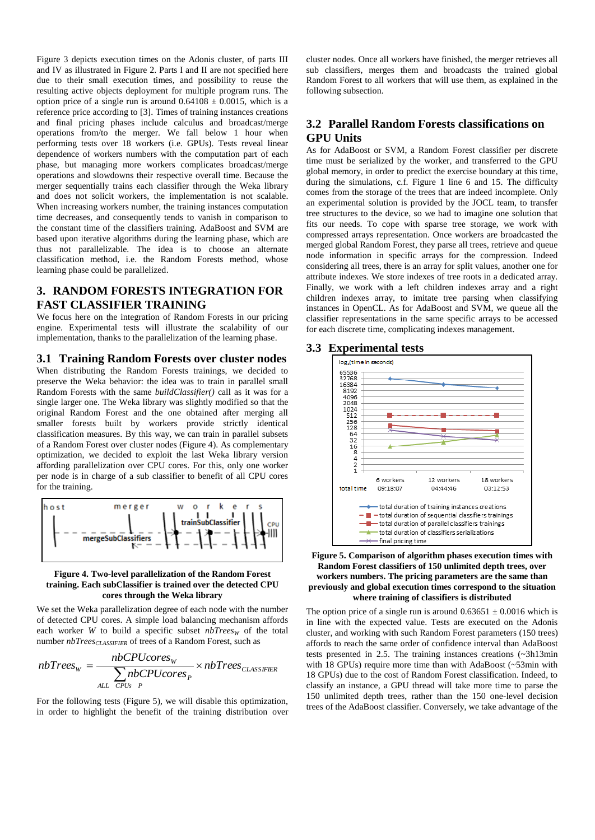Figure 3 depicts execution times on the Adonis cluster, of parts III and IV as illustrated in Figure 2. Parts I and II are not specified here due to their small execution times, and possibility to reuse the resulting active objects deployment for multiple program runs. The option price of a single run is around  $0.64108 \pm 0.0015$ , which is a reference price according to [3]. Times of training instances creations and final pricing phases include calculus and broadcast/merge operations from/to the merger. We fall below 1 hour when performing tests over 18 workers (i.e. GPUs). Tests reveal linear dependence of workers numbers with the computation part of each phase, but managing more workers complicates broadcast/merge operations and slowdowns their respective overall time. Because the merger sequentially trains each classifier through the Weka library and does not solicit workers, the implementation is not scalable. When increasing workers number, the training instances computation time decreases, and consequently tends to vanish in comparison to the constant time of the classifiers training. AdaBoost and SVM are based upon iterative algorithms during the learning phase, which are thus not parallelizable. The idea is to choose an alternate classification method, i.e. the Random Forests method, whose learning phase could be parallelized.

# **3. RANDOM FORESTS INTEGRATION FOR FAST CLASSIFIER TRAINING**

We focus here on the integration of Random Forests in our pricing engine. Experimental tests will illustrate the scalability of our implementation, thanks to the parallelization of the learning phase.

## **3.1 Training Random Forests over cluster nodes**

When distributing the Random Forests trainings, we decided to preserve the Weka behavior: the idea was to train in parallel small Random Forests with the same *buildClassifier()* call as it was for a single larger one. The Weka library was slightly modified so that the original Random Forest and the one obtained after merging all smaller forests built by workers provide strictly identical classification measures. By this way, we can train in parallel subsets of a Random Forest over cluster nodes (Figure 4). As complementary optimization, we decided to exploit the last Weka library version affording parallelization over CPU cores. For this, only one worker per node is in charge of a sub classifier to benefit of all CPU cores for the training.



#### **Figure 4. Two-level parallelization of the Random Forest training. Each subClassifier is trained over the detected CPU cores through the Weka library**

We set the Weka parallelization degree of each node with the number of detected CPU cores. A simple load balancing mechanism affords each worker *W* to build a specific subset  $nbTrees_W$  of the total number *nbTreesCLASSIFIER* of trees of a Random Forest, such as

$$
nbTrees_{\text{w}} = \frac{nbCPUcores_{\text{w}}}{\sum_{\text{ALL} ~ CPUs}^{nbCPUcores_{\text{p}}}} \times nbTrees_{\text{CLASSIFIER}}
$$

For the following tests (Figure 5), we will disable this optimization, in order to highlight the benefit of the training distribution over cluster nodes. Once all workers have finished, the merger retrieves all sub classifiers, merges them and broadcasts the trained global Random Forest to all workers that will use them, as explained in the following subsection.

# **3.2 Parallel Random Forests classifications on GPU Units**

As for AdaBoost or SVM, a Random Forest classifier per discrete time must be serialized by the worker, and transferred to the GPU global memory, in order to predict the exercise boundary at this time, during the simulations, c.f. Figure 1 line 6 and 15. The difficulty comes from the storage of the trees that are indeed incomplete. Only an experimental solution is provided by the JOCL team, to transfer tree structures to the device, so we had to imagine one solution that fits our needs. To cope with sparse tree storage, we work with compressed arrays representation. Once workers are broadcasted the merged global Random Forest, they parse all trees, retrieve and queue node information in specific arrays for the compression. Indeed considering all trees, there is an array for split values, another one for attribute indexes. We store indexes of tree roots in a dedicated array. Finally, we work with a left children indexes array and a right children indexes array, to imitate tree parsing when classifying instances in OpenCL. As for AdaBoost and SVM, we queue all the classifier representations in the same specific arrays to be accessed for each discrete time, complicating indexes management.

#### **3.3 Experimental tests**



#### **Figure 5. Comparison of algorithm phases execution times with Random Forest classifiers of 150 unlimited depth trees, over workers numbers. The pricing parameters are the same than previously and global execution times correspond to the situation where training of classifiers is distributed**

The option price of a single run is around  $0.63651 \pm 0.0016$  which is in line with the expected value. Tests are executed on the Adonis cluster, and working with such Random Forest parameters (150 trees) affords to reach the same order of confidence interval than AdaBoost tests presented in 2.5. The training instances creations (~3h13min with 18 GPUs) require more time than with AdaBoost (~53min with 18 GPUs) due to the cost of Random Forest classification. Indeed, to classify an instance, a GPU thread will take more time to parse the 150 unlimited depth trees, rather than the 150 one-level decision trees of the AdaBoost classifier. Conversely, we take advantage of the